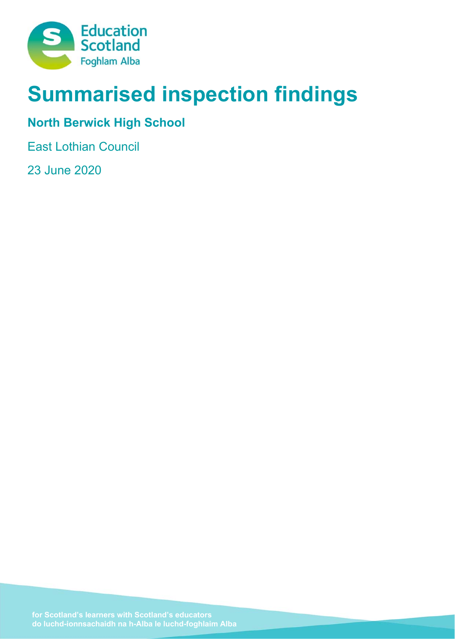

# **Summarised inspection findings**

# **North Berwick High School**

East Lothian Council

23 June 2020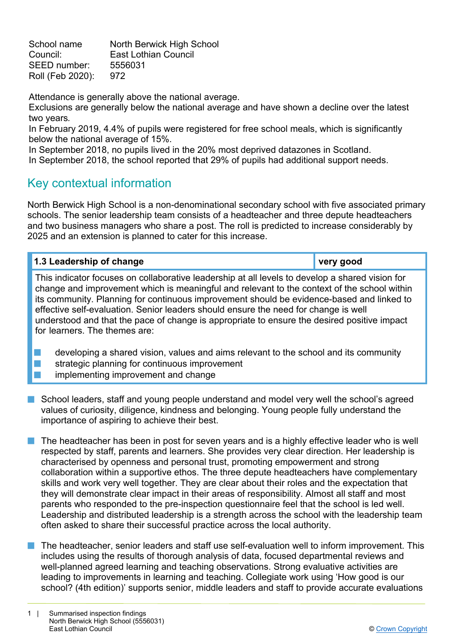School name North Berwick High School Council: East Lothian Council SEED number: 5556031 Roll (Feb 2020): 972

Attendance is generally above the national average.

Exclusions are generally below the national average and have shown a decline over the latest two years*.* 

In February 2019, 4.4% of pupils were registered for free school meals, which is significantly below the national average of 15%.

In September 2018, no pupils lived in the 20% most deprived datazones in Scotland. In September 2018, the school reported that 29% of pupils had additional support needs.

# Key contextual information

North Berwick High School is a non-denominational secondary school with five associated primary schools. The senior leadership team consists of a headteacher and three depute headteachers and two business managers who share a post. The roll is predicted to increase considerably by 2025 and an extension is planned to cater for this increase.

| 1.3 Leadership of change                                                                        | very good |
|-------------------------------------------------------------------------------------------------|-----------|
| This indicator focuses an eelleberative leadership at all levels to develop a shored vision for |           |

This indicator focuses on collaborative leadership at all levels to develop a shared vision for change and improvement which is meaningful and relevant to the context of the school within its community. Planning for continuous improvement should be evidence-based and linked to effective self-evaluation. Senior leaders should ensure the need for change is well understood and that the pace of change is appropriate to ensure the desired positive impact for learners. The themes are:

developing a shared vision, values and aims relevant to the school and its community  $\blacksquare$  strategic planning for continuous improvement implementing improvement and change

- School leaders, staff and young people understand and model very well the school's agreed values of curiosity, diligence, kindness and belonging. Young people fully understand the importance of aspiring to achieve their best.
- The headteacher has been in post for seven years and is a highly effective leader who is well respected by staff, parents and learners. She provides very clear direction. Her leadership is characterised by openness and personal trust, promoting empowerment and strong collaboration within a supportive ethos. The three depute headteachers have complementary skills and work very well together. They are clear about their roles and the expectation that they will demonstrate clear impact in their areas of responsibility. Almost all staff and most parents who responded to the pre-inspection questionnaire feel that the school is led well. Leadership and distributed leadership is a strength across the school with the leadership team often asked to share their successful practice across the local authority.
- $\blacksquare$  The headteacher, senior leaders and staff use self-evaluation well to inform improvement. This includes using the results of thorough analysis of data, focused departmental reviews and well-planned agreed learning and teaching observations. Strong evaluative activities are leading to improvements in learning and teaching. Collegiate work using 'How good is our school? (4th edition)' supports senior, middle leaders and staff to provide accurate evaluations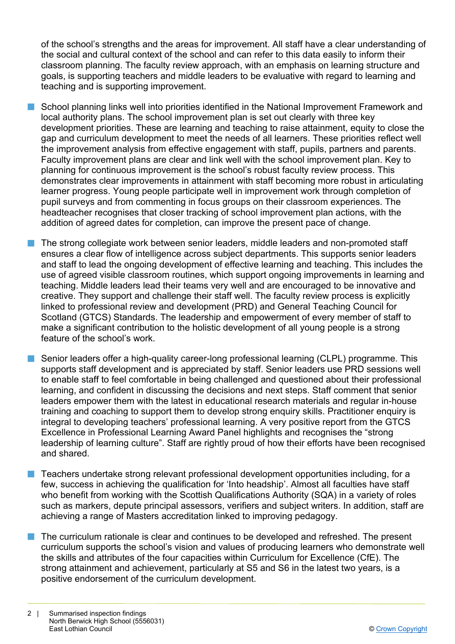of the school's strengths and the areas for improvement. All staff have a clear understanding of the social and cultural context of the school and can refer to this data easily to inform their classroom planning. The faculty review approach, with an emphasis on learning structure and goals, is supporting teachers and middle leaders to be evaluative with regard to learning and teaching and is supporting improvement.

- n School planning links well into priorities identified in the National Improvement Framework and local authority plans. The school improvement plan is set out clearly with three key development priorities. These are learning and teaching to raise attainment, equity to close the gap and curriculum development to meet the needs of all learners. These priorities reflect well the improvement analysis from effective engagement with staff, pupils, partners and parents. Faculty improvement plans are clear and link well with the school improvement plan. Key to planning for continuous improvement is the school's robust faculty review process. This demonstrates clear improvements in attainment with staff becoming more robust in articulating learner progress. Young people participate well in improvement work through completion of pupil surveys and from commenting in focus groups on their classroom experiences. The headteacher recognises that closer tracking of school improvement plan actions, with the addition of agreed dates for completion, can improve the present pace of change.
- The strong collegiate work between senior leaders, middle leaders and non-promoted staff ensures a clear flow of intelligence across subject departments. This supports senior leaders and staff to lead the ongoing development of effective learning and teaching. This includes the use of agreed visible classroom routines, which support ongoing improvements in learning and teaching. Middle leaders lead their teams very well and are encouraged to be innovative and creative. They support and challenge their staff well. The faculty review process is explicitly linked to professional review and development (PRD) and General Teaching Council for Scotland (GTCS) Standards. The leadership and empowerment of every member of staff to make a significant contribution to the holistic development of all young people is a strong feature of the school's work.
- Senior leaders offer a high-quality career-long professional learning (CLPL) programme. This supports staff development and is appreciated by staff. Senior leaders use PRD sessions well to enable staff to feel comfortable in being challenged and questioned about their professional learning, and confident in discussing the decisions and next steps. Staff comment that senior leaders empower them with the latest in educational research materials and regular in-house training and coaching to support them to develop strong enquiry skills. Practitioner enquiry is integral to developing teachers' professional learning. A very positive report from the GTCS Excellence in Professional Learning Award Panel highlights and recognises the "strong leadership of learning culture". Staff are rightly proud of how their efforts have been recognised and shared.
- n Teachers undertake strong relevant professional development opportunities including, for a few, success in achieving the qualification for 'Into headship'. Almost all faculties have staff who benefit from working with the Scottish Qualifications Authority (SQA) in a variety of roles such as markers, depute principal assessors, verifiers and subject writers. In addition, staff are achieving a range of Masters accreditation linked to improving pedagogy.
- n The curriculum rationale is clear and continues to be developed and refreshed. The present curriculum supports the school's vision and values of producing learners who demonstrate well the skills and attributes of the four capacities within Curriculum for Excellence (CfE). The strong attainment and achievement, particularly at S5 and S6 in the latest two years, is a positive endorsement of the curriculum development.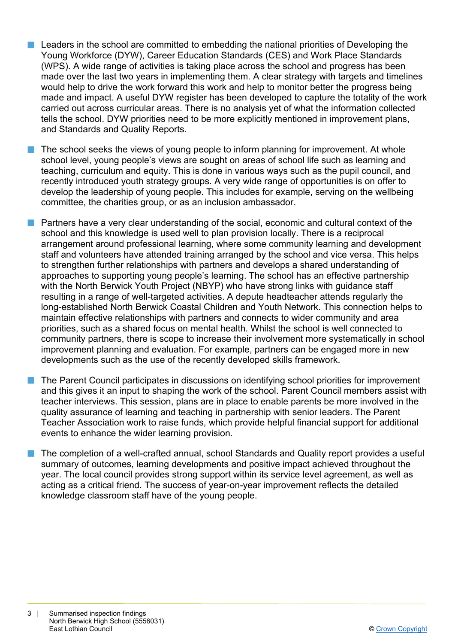- n Leaders in the school are committed to embedding the national priorities of Developing the Young Workforce (DYW), Career Education Standards (CES) and Work Place Standards (WPS). A wide range of activities is taking place across the school and progress has been made over the last two years in implementing them. A clear strategy with targets and timelines would help to drive the work forward this work and help to monitor better the progress being made and impact. A useful DYW register has been developed to capture the totality of the work carried out across curricular areas. There is no analysis yet of what the information collected tells the school. DYW priorities need to be more explicitly mentioned in improvement plans, and Standards and Quality Reports.
- The school seeks the views of young people to inform planning for improvement. At whole school level, young people's views are sought on areas of school life such as learning and teaching, curriculum and equity. This is done in various ways such as the pupil council, and recently introduced youth strategy groups. A very wide range of opportunities is on offer to develop the leadership of young people. This includes for example, serving on the wellbeing committee, the charities group, or as an inclusion ambassador.
- $\blacksquare$  Partners have a very clear understanding of the social, economic and cultural context of the school and this knowledge is used well to plan provision locally. There is a reciprocal arrangement around professional learning, where some community learning and development staff and volunteers have attended training arranged by the school and vice versa. This helps to strengthen further relationships with partners and develops a shared understanding of approaches to supporting young people's learning. The school has an effective partnership with the North Berwick Youth Project (NBYP) who have strong links with guidance staff resulting in a range of well-targeted activities. A depute headteacher attends regularly the long-established North Berwick Coastal Children and Youth Network. This connection helps to maintain effective relationships with partners and connects to wider community and area priorities, such as a shared focus on mental health. Whilst the school is well connected to community partners, there is scope to increase their involvement more systematically in school improvement planning and evaluation. For example, partners can be engaged more in new developments such as the use of the recently developed skills framework.
- The Parent Council participates in discussions on identifying school priorities for improvement and this gives it an input to shaping the work of the school. Parent Council members assist with teacher interviews. This session, plans are in place to enable parents be more involved in the quality assurance of learning and teaching in partnership with senior leaders. The Parent Teacher Association work to raise funds, which provide helpful financial support for additional events to enhance the wider learning provision.
- $\blacksquare$  The completion of a well-crafted annual, school Standards and Quality report provides a useful summary of outcomes, learning developments and positive impact achieved throughout the year. The local council provides strong support within its service level agreement, as well as acting as a critical friend. The success of year-on-year improvement reflects the detailed knowledge classroom staff have of the young people.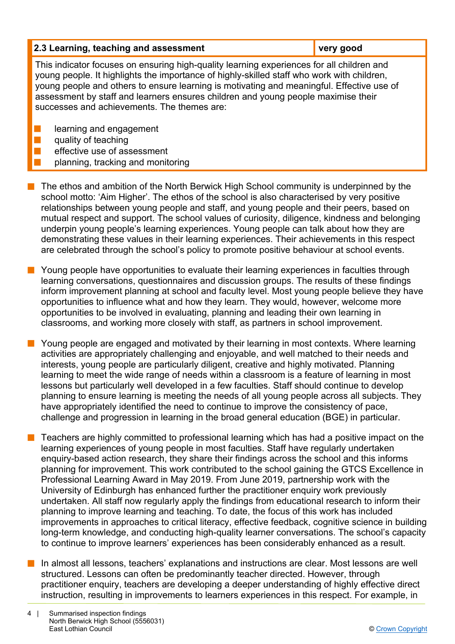| 2.3 Learning, teaching and assessment                                                                                                                                                                                                                                                                                                                                                                                    | very good |  |
|--------------------------------------------------------------------------------------------------------------------------------------------------------------------------------------------------------------------------------------------------------------------------------------------------------------------------------------------------------------------------------------------------------------------------|-----------|--|
| This indicator focuses on ensuring high-quality learning experiences for all children and<br>young people. It highlights the importance of highly-skilled staff who work with children,<br>young people and others to ensure learning is motivating and meaningful. Effective use of<br>assessment by staff and learners ensures children and young people maximise their<br>successes and achievements. The themes are: |           |  |
| learning and engagement                                                                                                                                                                                                                                                                                                                                                                                                  |           |  |
| quality of teaching                                                                                                                                                                                                                                                                                                                                                                                                      |           |  |
| effective use of assessment                                                                                                                                                                                                                                                                                                                                                                                              |           |  |
| planning, tracking and monitoring                                                                                                                                                                                                                                                                                                                                                                                        |           |  |

- $\blacksquare$  The ethos and ambition of the North Berwick High School community is underpinned by the school motto: 'Aim Higher'. The ethos of the school is also characterised by very positive relationships between young people and staff, and young people and their peers, based on mutual respect and support. The school values of curiosity, diligence, kindness and belonging underpin young people's learning experiences. Young people can talk about how they are demonstrating these values in their learning experiences. Their achievements in this respect are celebrated through the school's policy to promote positive behaviour at school events.
- Young people have opportunities to evaluate their learning experiences in faculties through learning conversations, questionnaires and discussion groups. The results of these findings inform improvement planning at school and faculty level. Most young people believe they have opportunities to influence what and how they learn. They would, however, welcome more opportunities to be involved in evaluating, planning and leading their own learning in classrooms, and working more closely with staff, as partners in school improvement.
- **n** Young people are engaged and motivated by their learning in most contexts. Where learning activities are appropriately challenging and enjoyable, and well matched to their needs and interests, young people are particularly diligent, creative and highly motivated. Planning learning to meet the wide range of needs within a classroom is a feature of learning in most lessons but particularly well developed in a few faculties. Staff should continue to develop planning to ensure learning is meeting the needs of all young people across all subjects. They have appropriately identified the need to continue to improve the consistency of pace, challenge and progression in learning in the broad general education (BGE) in particular.
- n Teachers are highly committed to professional learning which has had a positive impact on the learning experiences of young people in most faculties. Staff have regularly undertaken enquiry-based action research, they share their findings across the school and this informs planning for improvement. This work contributed to the school gaining the GTCS Excellence in Professional Learning Award in May 2019. From June 2019, partnership work with the University of Edinburgh has enhanced further the practitioner enquiry work previously undertaken. All staff now regularly apply the findings from educational research to inform their planning to improve learning and teaching. To date, the focus of this work has included improvements in approaches to critical literacy, effective feedback, cognitive science in building long-term knowledge, and conducting high-quality learner conversations. The school's capacity to continue to improve learners' experiences has been considerably enhanced as a result.
- **n** In almost all lessons, teachers' explanations and instructions are clear. Most lessons are well structured. Lessons can often be predominantly teacher directed. However, through practitioner enquiry, teachers are developing a deeper understanding of highly effective direct instruction, resulting in improvements to learners experiences in this respect. For example, in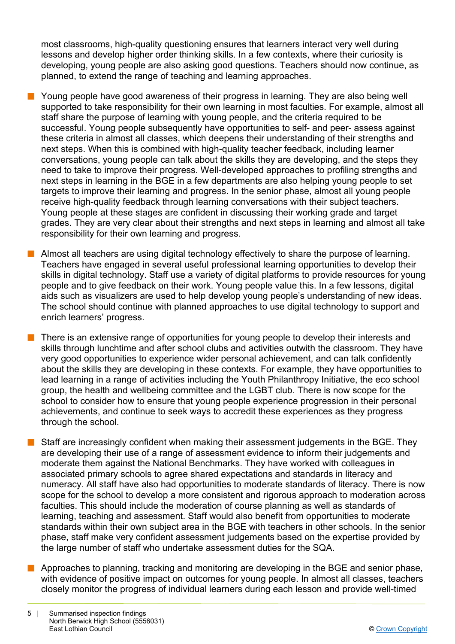most classrooms, high-quality questioning ensures that learners interact very well during lessons and develop higher order thinking skills. In a few contexts, where their curiosity is developing, young people are also asking good questions. Teachers should now continue, as planned, to extend the range of teaching and learning approaches.

- $\blacksquare$  Young people have good awareness of their progress in learning. They are also being well supported to take responsibility for their own learning in most faculties. For example, almost all staff share the purpose of learning with young people, and the criteria required to be successful. Young people subsequently have opportunities to self- and peer- assess against these criteria in almost all classes, which deepens their understanding of their strengths and next steps. When this is combined with high-quality teacher feedback, including learner conversations, young people can talk about the skills they are developing, and the steps they need to take to improve their progress. Well-developed approaches to profiling strengths and next steps in learning in the BGE in a few departments are also helping young people to set targets to improve their learning and progress. In the senior phase, almost all young people receive high-quality feedback through learning conversations with their subject teachers. Young people at these stages are confident in discussing their working grade and target grades. They are very clear about their strengths and next steps in learning and almost all take responsibility for their own learning and progress.
- $\blacksquare$  Almost all teachers are using digital technology effectively to share the purpose of learning. Teachers have engaged in several useful professional learning opportunities to develop their skills in digital technology. Staff use a variety of digital platforms to provide resources for young people and to give feedback on their work. Young people value this. In a few lessons, digital aids such as visualizers are used to help develop young people's understanding of new ideas. The school should continue with planned approaches to use digital technology to support and enrich learners' progress.
	- There is an extensive range of opportunities for young people to develop their interests and skills through lunchtime and after school clubs and activities outwith the classroom. They have very good opportunities to experience wider personal achievement, and can talk confidently about the skills they are developing in these contexts. For example, they have opportunities to lead learning in a range of activities including the Youth Philanthropy Initiative, the eco school group, the health and wellbeing committee and the LGBT club. There is now scope for the school to consider how to ensure that young people experience progression in their personal achievements, and continue to seek ways to accredit these experiences as they progress through the school.
- Staff are increasingly confident when making their assessment judgements in the BGE. They are developing their use of a range of assessment evidence to inform their judgements and moderate them against the National Benchmarks. They have worked with colleagues in associated primary schools to agree shared expectations and standards in literacy and numeracy. All staff have also had opportunities to moderate standards of literacy. There is now scope for the school to develop a more consistent and rigorous approach to moderation across faculties. This should include the moderation of course planning as well as standards of learning, teaching and assessment. Staff would also benefit from opportunities to moderate standards within their own subject area in the BGE with teachers in other schools. In the senior phase, staff make very confident assessment judgements based on the expertise provided by the large number of staff who undertake assessment duties for the SQA.
- **n** Approaches to planning, tracking and monitoring are developing in the BGE and senior phase, with evidence of positive impact on outcomes for young people. In almost all classes, teachers closely monitor the progress of individual learners during each lesson and provide well-timed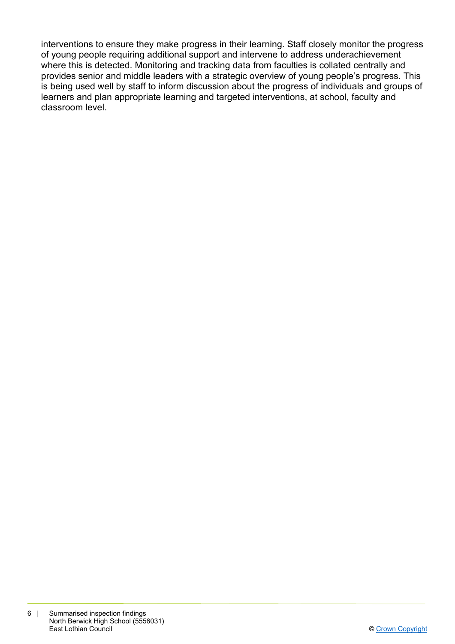interventions to ensure they make progress in their learning. Staff closely monitor the progress of young people requiring additional support and intervene to address underachievement where this is detected. Monitoring and tracking data from faculties is collated centrally and provides senior and middle leaders with a strategic overview of young people's progress. This is being used well by staff to inform discussion about the progress of individuals and groups of learners and plan appropriate learning and targeted interventions, at school, faculty and classroom level.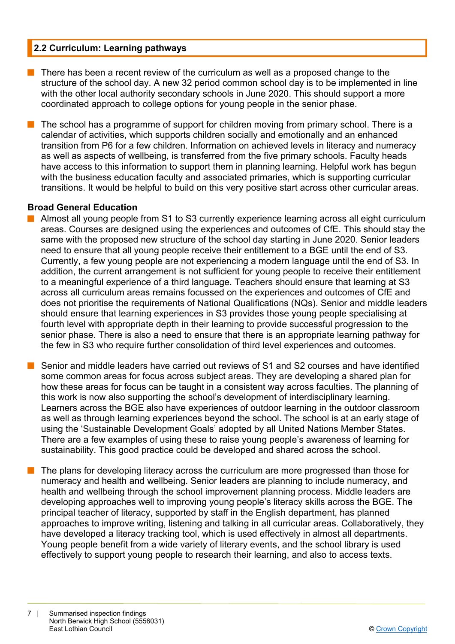# **2.2 Curriculum: Learning pathways**

There has been a recent review of the curriculum as well as a proposed change to the structure of the school day. A new 32 period common school day is to be implemented in line with the other local authority secondary schools in June 2020. This should support a more coordinated approach to college options for young people in the senior phase.

The school has a programme of support for children moving from primary school. There is a calendar of activities, which supports children socially and emotionally and an enhanced transition from P6 for a few children. Information on achieved levels in literacy and numeracy as well as aspects of wellbeing, is transferred from the five primary schools. Faculty heads have access to this information to support them in planning learning. Helpful work has begun with the business education faculty and associated primaries, which is supporting curricular transitions. It would be helpful to build on this very positive start across other curricular areas.

## **Broad General Education**

- n Almost all young people from S1 to S3 currently experience learning across all eight curriculum areas. Courses are designed using the experiences and outcomes of CfE. This should stay the same with the proposed new structure of the school day starting in June 2020. Senior leaders need to ensure that all young people receive their entitlement to a BGE until the end of S3. Currently, a few young people are not experiencing a modern language until the end of S3. In addition, the current arrangement is not sufficient for young people to receive their entitlement to a meaningful experience of a third language. Teachers should ensure that learning at S3 across all curriculum areas remains focussed on the experiences and outcomes of CfE and does not prioritise the requirements of National Qualifications (NQs). Senior and middle leaders should ensure that learning experiences in S3 provides those young people specialising at fourth level with appropriate depth in their learning to provide successful progression to the senior phase. There is also a need to ensure that there is an appropriate learning pathway for the few in S3 who require further consolidation of third level experiences and outcomes.
- Senior and middle leaders have carried out reviews of S1 and S2 courses and have identified some common areas for focus across subject areas. They are developing a shared plan for how these areas for focus can be taught in a consistent way across faculties. The planning of this work is now also supporting the school's development of interdisciplinary learning. Learners across the BGE also have experiences of outdoor learning in the outdoor classroom as well as through learning experiences beyond the school. The school is at an early stage of using the 'Sustainable Development Goals' adopted by all United Nations Member States. There are a few examples of using these to raise young people's awareness of learning for sustainability. This good practice could be developed and shared across the school.
	- The plans for developing literacy across the curriculum are more progressed than those for numeracy and health and wellbeing. Senior leaders are planning to include numeracy, and health and wellbeing through the school improvement planning process. Middle leaders are developing approaches well to improving young people's literacy skills across the BGE. The principal teacher of literacy, supported by staff in the English department, has planned approaches to improve writing, listening and talking in all curricular areas. Collaboratively, they have developed a literacy tracking tool, which is used effectively in almost all departments. Young people benefit from a wide variety of literary events, and the school library is used effectively to support young people to research their learning, and also to access texts.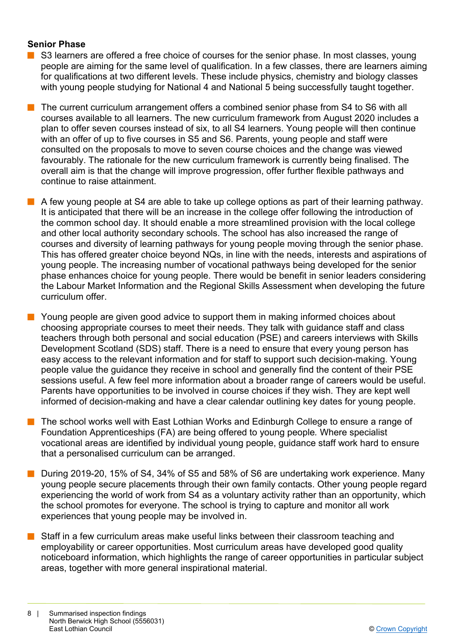# **Senior Phase**

- $\blacksquare$  S3 learners are offered a free choice of courses for the senior phase. In most classes, young people are aiming for the same level of qualification. In a few classes, there are learners aiming for qualifications at two different levels. These include physics, chemistry and biology classes with young people studying for National 4 and National 5 being successfully taught together.
- The current curriculum arrangement offers a combined senior phase from S4 to S6 with all courses available to all learners. The new curriculum framework from August 2020 includes a plan to offer seven courses instead of six, to all S4 learners. Young people will then continue with an offer of up to five courses in S5 and S6. Parents, young people and staff were consulted on the proposals to move to seven course choices and the change was viewed favourably. The rationale for the new curriculum framework is currently being finalised. The overall aim is that the change will improve progression, offer further flexible pathways and continue to raise attainment.
- $\blacksquare$  A few young people at S4 are able to take up college options as part of their learning pathway. It is anticipated that there will be an increase in the college offer following the introduction of the common school day. It should enable a more streamlined provision with the local college and other local authority secondary schools. The school has also increased the range of courses and diversity of learning pathways for young people moving through the senior phase. This has offered greater choice beyond NQs, in line with the needs, interests and aspirations of young people. The increasing number of vocational pathways being developed for the senior phase enhances choice for young people. There would be benefit in senior leaders considering the Labour Market Information and the Regional Skills Assessment when developing the future curriculum offer.

 $\blacksquare$  Young people are given good advice to support them in making informed choices about choosing appropriate courses to meet their needs. They talk with guidance staff and class teachers through both personal and social education (PSE) and careers interviews with Skills Development Scotland (SDS) staff. There is a need to ensure that every young person has easy access to the relevant information and for staff to support such decision-making. Young people value the guidance they receive in school and generally find the content of their PSE sessions useful. A few feel more information about a broader range of careers would be useful. Parents have opportunities to be involved in course choices if they wish. They are kept well informed of decision-making and have a clear calendar outlining key dates for young people.

- n The school works well with East Lothian Works and Edinburgh College to ensure a range of Foundation Apprenticeships (FA) are being offered to young people*.* Where specialist vocational areas are identified by individual young people, guidance staff work hard to ensure that a personalised curriculum can be arranged.
- n During 2019-20, 15% of S4, 34% of S5 and 58% of S6 are undertaking work experience. Many young people secure placements through their own family contacts. Other young people regard experiencing the world of work from S4 as a voluntary activity rather than an opportunity, which the school promotes for everyone. The school is trying to capture and monitor all work experiences that young people may be involved in.
- $\blacksquare$  Staff in a few curriculum areas make useful links between their classroom teaching and employability or career opportunities. Most curriculum areas have developed good quality noticeboard information, which highlights the range of career opportunities in particular subject areas, together with more general inspirational material.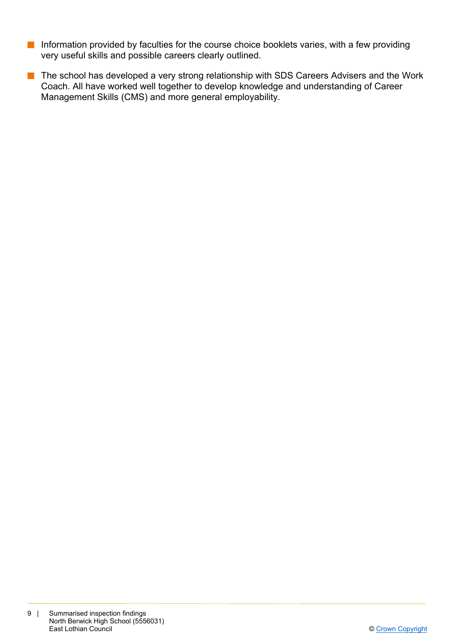- $\blacksquare$  Information provided by faculties for the course choice booklets varies, with a few providing very useful skills and possible careers clearly outlined.
- **n** The school has developed a very strong relationship with SDS Careers Advisers and the Work Coach. All have worked well together to develop knowledge and understanding of Career Management Skills (CMS) and more general employability.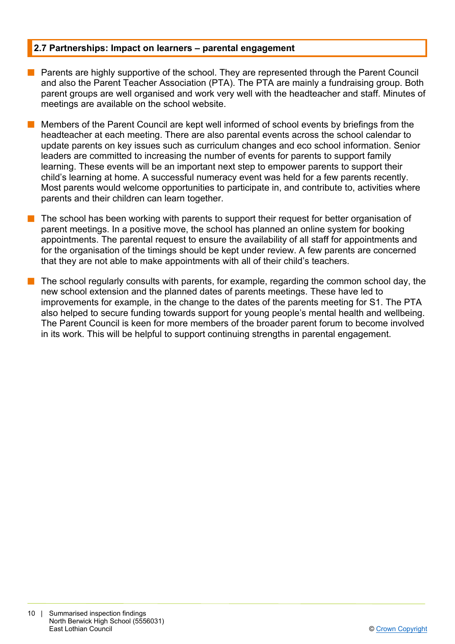## **2.7 Partnerships: Impact on learners – parental engagement**

- **n** Parents are highly supportive of the school. They are represented through the Parent Council and also the Parent Teacher Association (PTA). The PTA are mainly a fundraising group. Both parent groups are well organised and work very well with the headteacher and staff. Minutes of meetings are available on the school website.
	- n Members of the Parent Council are kept well informed of school events by briefings from the headteacher at each meeting. There are also parental events across the school calendar to update parents on key issues such as curriculum changes and eco school information. Senior leaders are committed to increasing the number of events for parents to support family learning. These events will be an important next step to empower parents to support their child's learning at home. A successful numeracy event was held for a few parents recently. Most parents would welcome opportunities to participate in, and contribute to, activities where parents and their children can learn together.
- The school has been working with parents to support their request for better organisation of parent meetings. In a positive move, the school has planned an online system for booking appointments. The parental request to ensure the availability of all staff for appointments and for the organisation of the timings should be kept under review. A few parents are concerned that they are not able to make appointments with all of their child's teachers.
- The school regularly consults with parents, for example, regarding the common school day, the new school extension and the planned dates of parents meetings. These have led to improvements for example, in the change to the dates of the parents meeting for S1. The PTA also helped to secure funding towards support for young people's mental health and wellbeing. The Parent Council is keen for more members of the broader parent forum to become involved in its work. This will be helpful to support continuing strengths in parental engagement.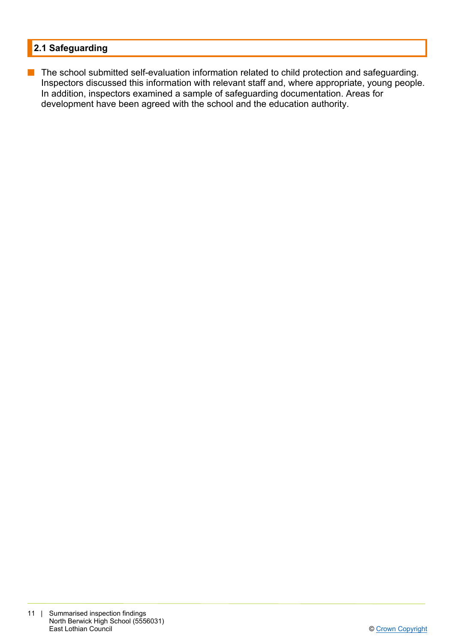# **2.1 Safeguarding**

**n** The school submitted self-evaluation information related to child protection and safeguarding. Inspectors discussed this information with relevant staff and, where appropriate, young people. In addition, inspectors examined a sample of safeguarding documentation. Areas for development have been agreed with the school and the education authority.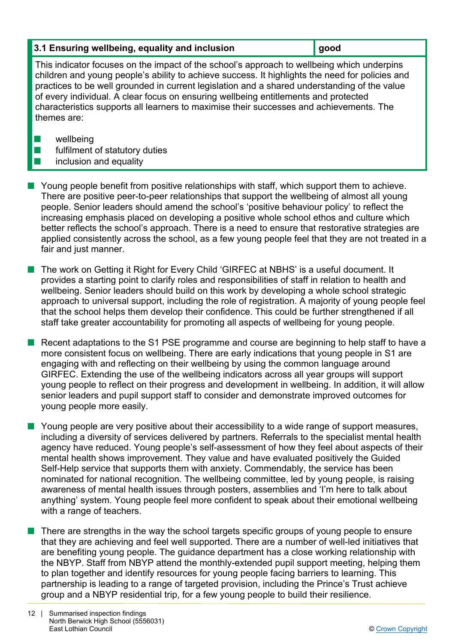| 3.1 Ensuring wellbeing, equality and inclusion | $\vert$ good |
|------------------------------------------------|--------------|
|------------------------------------------------|--------------|

This indicator focuses on the impact of the school's approach to wellbeing which underpins children and young people's ability to achieve success. It highlights the need for policies and practices to be well grounded in current legislation and a shared understanding of the value of every individual. A clear focus on ensuring wellbeing entitlements and protected characteristics supports all learners to maximise their successes and achievements. The themes are:

- $\blacksquare$  wellbeing
- $\blacksquare$  fulfilment of statutory duties
- $\blacksquare$  inclusion and equality
- **n** Young people benefit from positive relationships with staff, which support them to achieve. There are positive peer-to-peer relationships that support the wellbeing of almost all young people. Senior leaders should amend the school's 'positive behaviour policy' to reflect the increasing emphasis placed on developing a positive whole school ethos and culture which better reflects the school's approach. There is a need to ensure that restorative strategies are applied consistently across the school, as a few young people feel that they are not treated in a fair and just manner.
- The work on Getting it Right for Every Child 'GIRFEC at NBHS' is a useful document. It provides a starting point to clarify roles and responsibilities of staff in relation to health and wellbeing. Senior leaders should build on this work by developing a whole school strategic approach to universal support, including the role of registration. A majority of young people feel that the school helps them develop their confidence. This could be further strengthened if all staff take greater accountability for promoting all aspects of wellbeing for young people.
- $\blacksquare$  Recent adaptations to the S1 PSE programme and course are beginning to help staff to have a more consistent focus on wellbeing. There are early indications that young people in S1 are engaging with and reflecting on their wellbeing by using the common language around GIRFEC. Extending the use of the wellbeing indicators across all year groups will support young people to reflect on their progress and development in wellbeing. In addition, it will allow senior leaders and pupil support staff to consider and demonstrate improved outcomes for young people more easily.
- $\blacksquare$  Young people are very positive about their accessibility to a wide range of support measures, including a diversity of services delivered by partners. Referrals to the specialist mental health agency have reduced. Young people's self-assessment of how they feel about aspects of their mental health shows improvement. They value and have evaluated positively the Guided Self-Help service that supports them with anxiety. Commendably, the service has been nominated for national recognition. The wellbeing committee, led by young people, is raising awareness of mental health issues through posters, assemblies and 'I'm here to talk about anything' system. Young people feel more confident to speak about their emotional wellbeing with a range of teachers.
- $\blacksquare$  There are strengths in the way the school targets specific groups of young people to ensure that they are achieving and feel well supported. There are a number of well-led initiatives that are benefiting young people. The guidance department has a close working relationship with the NBYP. Staff from NBYP attend the monthly-extended pupil support meeting, helping them to plan together and identify resources for young people facing barriers to learning. This partnership is leading to a range of targeted provision, including the Prince's Trust achieve group and a NBYP residential trip, for a few young people to build their resilience.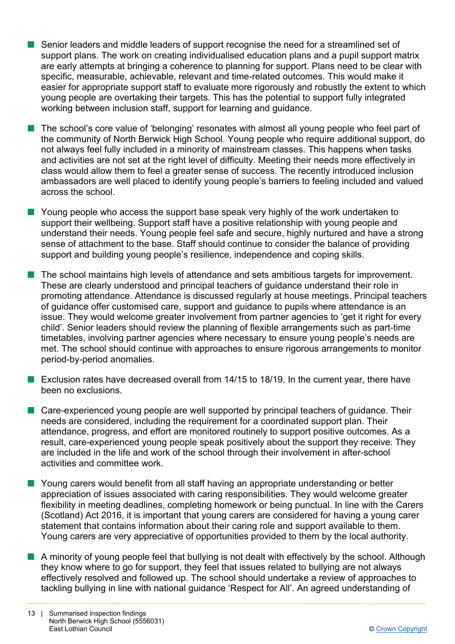- n Senior leaders and middle leaders of support recognise the need for a streamlined set of support plans. The work on creating individualised education plans and a pupil support matrix are early attempts at bringing a coherence to planning for support. Plans need to be clear with specific, measurable, achievable, relevant and time-related outcomes. This would make it easier for appropriate support staff to evaluate more rigorously and robustly the extent to which young people are overtaking their targets. This has the potential to support fully integrated working between inclusion staff, support for learning and guidance.
- The school's core value of 'belonging' resonates with almost all young people who feel part of the community of North Berwick High School. Young people who require additional support, do not always feel fully included in a minority of mainstream classes. This happens when tasks and activities are not set at the right level of difficulty. Meeting their needs more effectively in class would allow them to feel a greater sense of success. The recently introduced inclusion ambassadors are well placed to identify young people's barriers to feeling included and valued across the school.
- $\blacksquare$  Young people who access the support base speak very highly of the work undertaken to support their wellbeing. Support staff have a positive relationship with young people and understand their needs. Young people feel safe and secure, highly nurtured and have a strong sense of attachment to the base. Staff should continue to consider the balance of providing support and building young people's resilience, independence and coping skills.
- **n** The school maintains high levels of attendance and sets ambitious targets for improvement. These are clearly understood and principal teachers of guidance understand their role in promoting attendance. Attendance is discussed regularly at house meetings. Principal teachers of guidance offer customised care, support and guidance to pupils where attendance is an issue. They would welcome greater involvement from partner agencies to 'get it right for every child'. Senior leaders should review the planning of flexible arrangements such as part-time timetables, involving partner agencies where necessary to ensure young people's needs are met. The school should continue with approaches to ensure rigorous arrangements to monitor period-by-period anomalies.
- Exclusion rates have decreased overall from  $14/15$  to 18/19. In the current year, there have been no exclusions.
- $\blacksquare$  Care-experienced young people are well supported by principal teachers of guidance. Their needs are considered, including the requirement for a coordinated support plan. Their attendance, progress, and effort are monitored routinely to support positive outcomes. As a result, care-experienced young people speak positively about the support they receive. They are included in the life and work of the school through their involvement in after-school activities and committee work.
- Young carers would benefit from all staff having an appropriate understanding or better appreciation of issues associated with caring responsibilities. They would welcome greater flexibility in meeting deadlines, completing homework or being punctual. In line with the Carers (Scotland) Act 2016, it is important that young carers are considered for having a young carer statement that contains information about their caring role and support available to them. Young carers are very appreciative of opportunities provided to them by the local authority.
- **n** A minority of young people feel that bullying is not dealt with effectively by the school. Although they know where to go for support, they feel that issues related to bullying are not always effectively resolved and followed up. The school should undertake a review of approaches to tackling bullying in line with national guidance 'Respect for All'. An agreed understanding of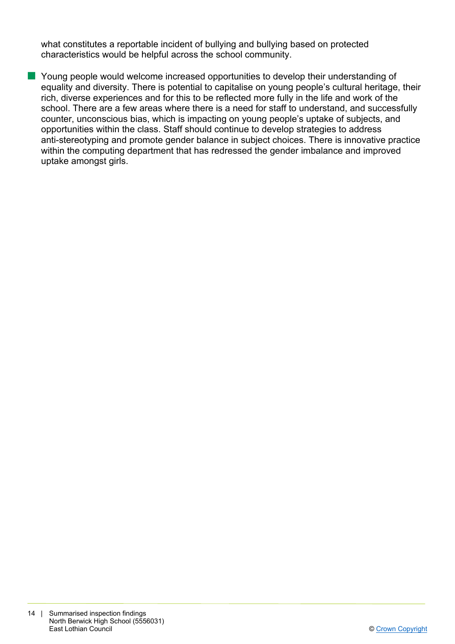what constitutes a reportable incident of bullying and bullying based on protected characteristics would be helpful across the school community.

**n** Young people would welcome increased opportunities to develop their understanding of equality and diversity. There is potential to capitalise on young people's cultural heritage, their rich, diverse experiences and for this to be reflected more fully in the life and work of the school. There are a few areas where there is a need for staff to understand, and successfully counter, unconscious bias, which is impacting on young people's uptake of subjects, and opportunities within the class. Staff should continue to develop strategies to address anti-stereotyping and promote gender balance in subject choices. There is innovative practice within the computing department that has redressed the gender imbalance and improved uptake amongst girls.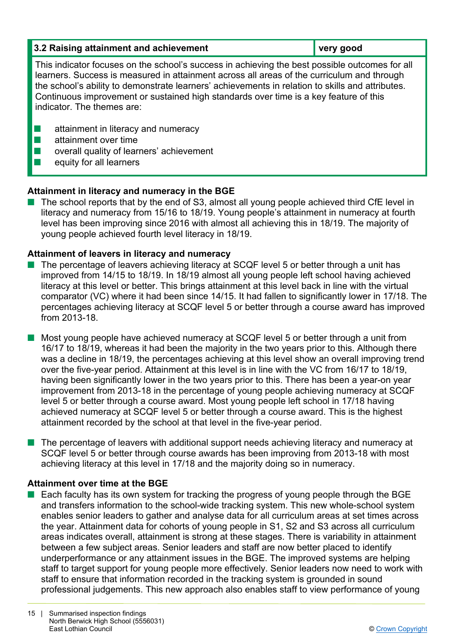# **3.2 Raising attainment and achievement very good**

This indicator focuses on the school's success in achieving the best possible outcomes for all learners. Success is measured in attainment across all areas of the curriculum and through the school's ability to demonstrate learners' achievements in relation to skills and attributes. Continuous improvement or sustained high standards over time is a key feature of this indicator. The themes are:

- $\blacksquare$  attainment in literacy and numeracy
- $\blacksquare$  attainment over time
- $\blacksquare$  overall quality of learners' achievement
- $\blacksquare$  equity for all learners

# **Attainment in literacy and numeracy in the BGE**

 $\blacksquare$  The school reports that by the end of S3, almost all young people achieved third CfE level in literacy and numeracy from 15/16 to 18/19. Young people's attainment in numeracy at fourth level has been improving since 2016 with almost all achieving this in 18/19. The majority of young people achieved fourth level literacy in 18/19.

# **Attainment of leavers in literacy and numeracy**

n The percentage of leavers achieving literacy at SCQF level 5 or better through a unit has improved from 14/15 to 18/19. In 18/19 almost all young people left school having achieved literacy at this level or better. This brings attainment at this level back in line with the virtual comparator (VC) where it had been since 14/15. It had fallen to significantly lower in 17/18. The percentages achieving literacy at SCQF level 5 or better through a course award has improved from 2013-18.

■ Most young people have achieved numeracy at SCQF level 5 or better through a unit from 16/17 to 18/19, whereas it had been the majority in the two years prior to this. Although there was a decline in 18/19, the percentages achieving at this level show an overall improving trend over the five-year period. Attainment at this level is in line with the VC from 16/17 to 18/19, having been significantly lower in the two years prior to this. There has been a year-on year improvement from 2013-18 in the percentage of young people achieving numeracy at SCQF level 5 or better through a course award. Most young people left school in 17/18 having achieved numeracy at SCQF level 5 or better through a course award. This is the highest attainment recorded by the school at that level in the five-year period.

 $\blacksquare$  The percentage of leavers with additional support needs achieving literacy and numeracy at SCQF level 5 or better through course awards has been improving from 2013-18 with most achieving literacy at this level in 17/18 and the majority doing so in numeracy.

# **Attainment over time at the BGE**

 $\blacksquare$  Each faculty has its own system for tracking the progress of young people through the BGE and transfers information to the school-wide tracking system. This new whole-school system enables senior leaders to gather and analyse data for all curriculum areas at set times across the year. Attainment data for cohorts of young people in S1, S2 and S3 across all curriculum areas indicates overall, attainment is strong at these stages. There is variability in attainment between a few subject areas. Senior leaders and staff are now better placed to identify underperformance or any attainment issues in the BGE. The improved systems are helping staff to target support for young people more effectively. Senior leaders now need to work with staff to ensure that information recorded in the tracking system is grounded in sound professional judgements. This new approach also enables staff to view performance of young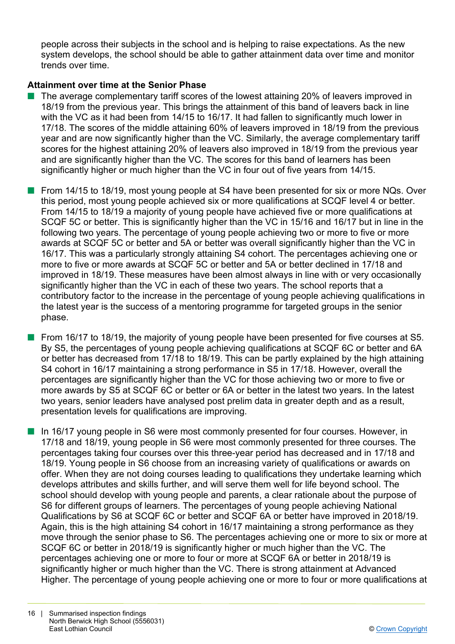people across their subjects in the school and is helping to raise expectations. As the new system develops, the school should be able to gather attainment data over time and monitor trends over time.

# **Attainment over time at the Senior Phase**

- The average complementary tariff scores of the lowest attaining 20% of leavers improved in 18/19 from the previous year. This brings the attainment of this band of leavers back in line with the VC as it had been from 14/15 to 16/17. It had fallen to significantly much lower in 17/18. The scores of the middle attaining 60% of leavers improved in 18/19 from the previous year and are now significantly higher than the VC. Similarly, the average complementary tariff scores for the highest attaining 20% of leavers also improved in 18/19 from the previous year and are significantly higher than the VC. The scores for this band of learners has been significantly higher or much higher than the VC in four out of five years from 14/15.
- From 14/15 to 18/19, most young people at S4 have been presented for six or more NQs. Over this period, most young people achieved six or more qualifications at SCQF level 4 or better. From 14/15 to 18/19 a majority of young people have achieved five or more qualifications at SCQF 5C or better. This is significantly higher than the VC in 15/16 and 16/17 but in line in the following two years. The percentage of young people achieving two or more to five or more awards at SCQF 5C or better and 5A or better was overall significantly higher than the VC in 16/17. This was a particularly strongly attaining S4 cohort. The percentages achieving one or more to five or more awards at SCQF 5C or better and 5A or better declined in 17/18 and improved in 18/19. These measures have been almost always in line with or very occasionally significantly higher than the VC in each of these two years. The school reports that a contributory factor to the increase in the percentage of young people achieving qualifications in the latest year is the success of a mentoring programme for targeted groups in the senior phase.
- From 16/17 to 18/19, the majority of young people have been presented for five courses at S5. By S5, the percentages of young people achieving qualifications at SCQF 6C or better and 6A or better has decreased from 17/18 to 18/19. This can be partly explained by the high attaining S4 cohort in 16/17 maintaining a strong performance in S5 in 17/18. However, overall the percentages are significantly higher than the VC for those achieving two or more to five or more awards by S5 at SCQF 6C or better or 6A or better in the latest two years. In the latest two years, senior leaders have analysed post prelim data in greater depth and as a result, presentation levels for qualifications are improving.
- **n** In 16/17 young people in S6 were most commonly presented for four courses. However, in 17/18 and 18/19, young people in S6 were most commonly presented for three courses. The percentages taking four courses over this three-year period has decreased and in 17/18 and 18/19. Young people in S6 choose from an increasing variety of qualifications or awards on offer. When they are not doing courses leading to qualifications they undertake learning which develops attributes and skills further, and will serve them well for life beyond school. The school should develop with young people and parents, a clear rationale about the purpose of S6 for different groups of learners. The percentages of young people achieving National Qualifications by S6 at SCQF 6C or better and SCQF 6A or better have improved in 2018/19. Again, this is the high attaining S4 cohort in 16/17 maintaining a strong performance as they move through the senior phase to S6. The percentages achieving one or more to six or more at SCQF 6C or better in 2018/19 is significantly higher or much higher than the VC. The percentages achieving one or more to four or more at SCQF 6A or better in 2018/19 is significantly higher or much higher than the VC. There is strong attainment at Advanced Higher. The percentage of young people achieving one or more to four or more qualifications at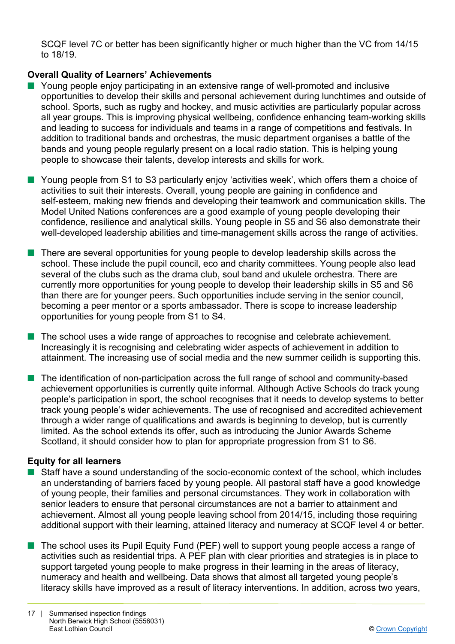SCQF level 7C or better has been significantly higher or much higher than the VC from 14/15 to 18/19.

# **Overall Quality of Learners' Achievements**

- **N** Young people enjoy participating in an extensive range of well-promoted and inclusive opportunities to develop their skills and personal achievement during lunchtimes and outside of school. Sports, such as rugby and hockey, and music activities are particularly popular across all year groups. This is improving physical wellbeing, confidence enhancing team-working skills and leading to success for individuals and teams in a range of competitions and festivals. In addition to traditional bands and orchestras, the music department organises a battle of the bands and young people regularly present on a local radio station. This is helping young people to showcase their talents, develop interests and skills for work.
- Young people from S1 to S3 particularly eniov 'activities week', which offers them a choice of activities to suit their interests. Overall, young people are gaining in confidence and self-esteem, making new friends and developing their teamwork and communication skills. The Model United Nations conferences are a good example of young people developing their confidence, resilience and analytical skills. Young people in S5 and S6 also demonstrate their well-developed leadership abilities and time-management skills across the range of activities.
- $\blacksquare$  There are several opportunities for young people to develop leadership skills across the school. These include the pupil council, eco and charity committees. Young people also lead several of the clubs such as the drama club, soul band and ukulele orchestra. There are currently more opportunities for young people to develop their leadership skills in S5 and S6 than there are for younger peers. Such opportunities include serving in the senior council, becoming a peer mentor or a sports ambassador. There is scope to increase leadership opportunities for young people from S1 to S4.
- $\blacksquare$  The school uses a wide range of approaches to recognise and celebrate achievement. Increasingly it is recognising and celebrating wider aspects of achievement in addition to attainment. The increasing use of social media and the new summer ceilidh is supporting this.
- The identification of non-participation across the full range of school and community-based achievement opportunities is currently quite informal. Although Active Schools do track young people's participation in sport, the school recognises that it needs to develop systems to better track young people's wider achievements. The use of recognised and accredited achievement through a wider range of qualifications and awards is beginning to develop, but is currently limited. As the school extends its offer, such as introducing the Junior Awards Scheme Scotland, it should consider how to plan for appropriate progression from S1 to S6.

# **Equity for all learners**

- Staff have a sound understanding of the socio-economic context of the school, which includes an understanding of barriers faced by young people. All pastoral staff have a good knowledge of young people, their families and personal circumstances. They work in collaboration with senior leaders to ensure that personal circumstances are not a barrier to attainment and achievement. Almost all young people leaving school from 2014/15, including those requiring additional support with their learning, attained literacy and numeracy at SCQF level 4 or better.
- The school uses its Pupil Equity Fund (PEF) well to support young people access a range of activities such as residential trips. A PEF plan with clear priorities and strategies is in place to support targeted young people to make progress in their learning in the areas of literacy, numeracy and health and wellbeing. Data shows that almost all targeted young people's literacy skills have improved as a result of literacy interventions. In addition, across two years,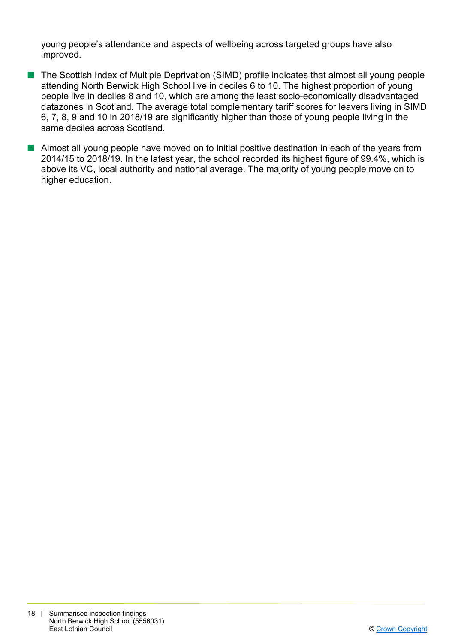young people's attendance and aspects of wellbeing across targeted groups have also improved.

- The Scottish Index of Multiple Deprivation (SIMD) profile indicates that almost all young people attending North Berwick High School live in deciles 6 to 10. The highest proportion of young people live in deciles 8 and 10, which are among the least socio-economically disadvantaged datazones in Scotland. The average total complementary tariff scores for leavers living in SIMD 6, 7, 8, 9 and 10 in 2018/19 are significantly higher than those of young people living in the same deciles across Scotland.
- $\blacksquare$  Almost all young people have moved on to initial positive destination in each of the years from 2014/15 to 2018/19. In the latest year, the school recorded its highest figure of 99.4%, which is above its VC, local authority and national average. The majority of young people move on to higher education.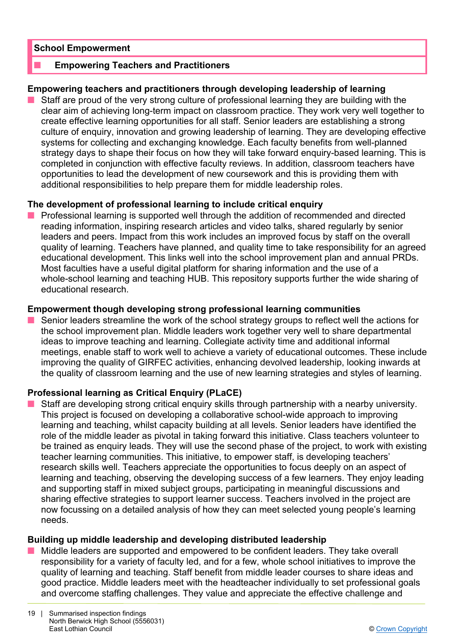#### **School Empowerment**

#### **Empowering Teachers and Practitioners**

#### **Empowering teachers and practitioners through developing leadership of learning**

**n** Staff are proud of the very strong culture of professional learning they are building with the clear aim of achieving long-term impact on classroom practice. They work very well together to create effective learning opportunities for all staff. Senior leaders are establishing a strong culture of enquiry, innovation and growing leadership of learning. They are developing effective systems for collecting and exchanging knowledge. Each faculty benefits from well-planned strategy days to shape their focus on how they will take forward enquiry-based learning. This is completed in conjunction with effective faculty reviews. In addition, classroom teachers have opportunities to lead the development of new coursework and this is providing them with additional responsibilities to help prepare them for middle leadership roles.

#### **The development of professional learning to include critical enquiry**

**n** Professional learning is supported well through the addition of recommended and directed reading information, inspiring research articles and video talks, shared regularly by senior leaders and peers. Impact from this work includes an improved focus by staff on the overall quality of learning. Teachers have planned, and quality time to take responsibility for an agreed educational development. This links well into the school improvement plan and annual PRDs. Most faculties have a useful digital platform for sharing information and the use of a whole-school learning and teaching HUB. This repository supports further the wide sharing of educational research.

#### **Empowerment though developing strong professional learning communities**

Senior leaders streamline the work of the school strategy groups to reflect well the actions for the school improvement plan. Middle leaders work together very well to share departmental ideas to improve teaching and learning. Collegiate activity time and additional informal meetings, enable staff to work well to achieve a variety of educational outcomes. These include improving the quality of GIRFEC activities, enhancing devolved leadership, looking inwards at the quality of classroom learning and the use of new learning strategies and styles of learning.

## **Professional learning as Critical Enquiry (PLaCE)**

Staff are developing strong critical enquiry skills through partnership with a nearby university. This project is focused on developing a collaborative school-wide approach to improving learning and teaching, whilst capacity building at all levels. Senior leaders have identified the role of the middle leader as pivotal in taking forward this initiative. Class teachers volunteer to be trained as enquiry leads. They will use the second phase of the project, to work with existing teacher learning communities. This initiative, to empower staff, is developing teachers' research skills well. Teachers appreciate the opportunities to focus deeply on an aspect of learning and teaching, observing the developing success of a few learners. They enjoy leading and supporting staff in mixed subject groups, participating in meaningful discussions and sharing effective strategies to support learner success. Teachers involved in the project are now focussing on a detailed analysis of how they can meet selected young people's learning needs.

## **Building up middle leadership and developing distributed leadership**

Middle leaders are supported and empowered to be confident leaders. They take overall responsibility for a variety of faculty led, and for a few, whole school initiatives to improve the quality of learning and teaching. Staff benefit from middle leader courses to share ideas and good practice. Middle leaders meet with the headteacher individually to set professional goals and overcome staffing challenges. They value and appreciate the effective challenge and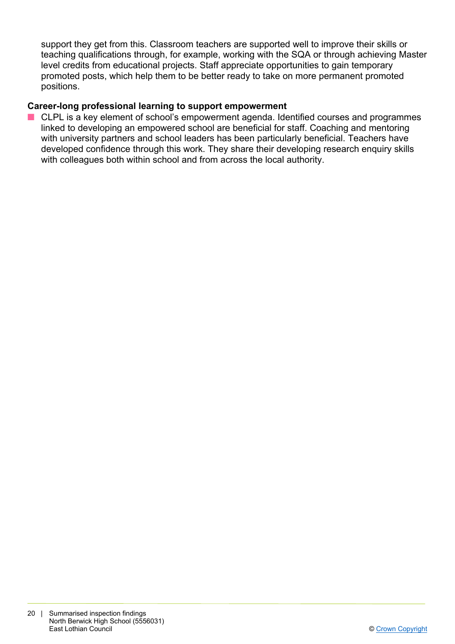support they get from this. Classroom teachers are supported well to improve their skills or teaching qualifications through, for example, working with the SQA or through achieving Master level credits from educational projects. Staff appreciate opportunities to gain temporary promoted posts, which help them to be better ready to take on more permanent promoted positions.

# **Career-long professional learning to support empowerment**

■ CLPL is a key element of school's empowerment agenda. Identified courses and programmes linked to developing an empowered school are beneficial for staff. Coaching and mentoring with university partners and school leaders has been particularly beneficial. Teachers have developed confidence through this work. They share their developing research enquiry skills with colleagues both within school and from across the local authority.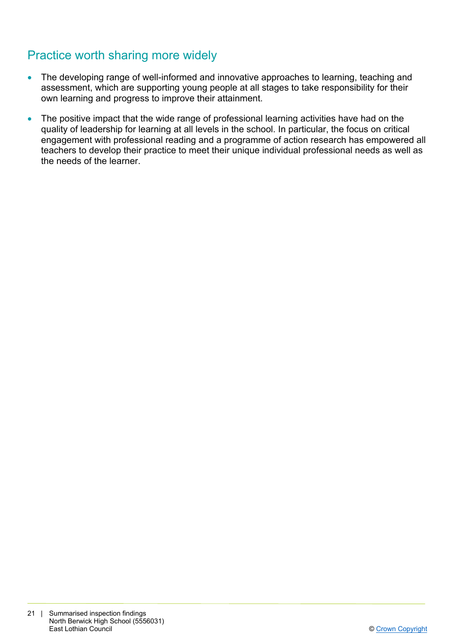# Practice worth sharing more widely

- The developing range of well-informed and innovative approaches to learning, teaching and assessment, which are supporting young people at all stages to take responsibility for their own learning and progress to improve their attainment.
- The positive impact that the wide range of professional learning activities have had on the quality of leadership for learning at all levels in the school. In particular, the focus on critical engagement with professional reading and a programme of action research has empowered all teachers to develop their practice to meet their unique individual professional needs as well as the needs of the learner.